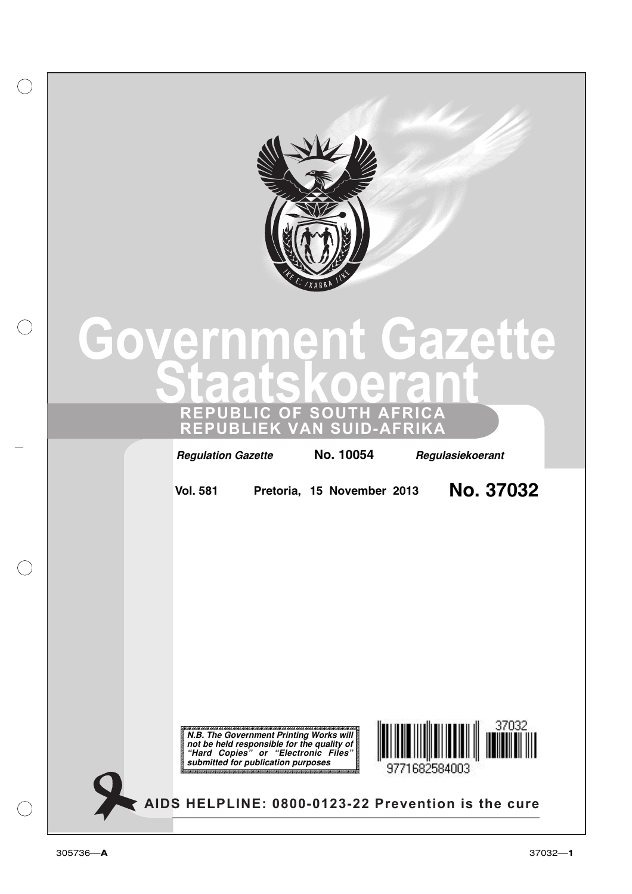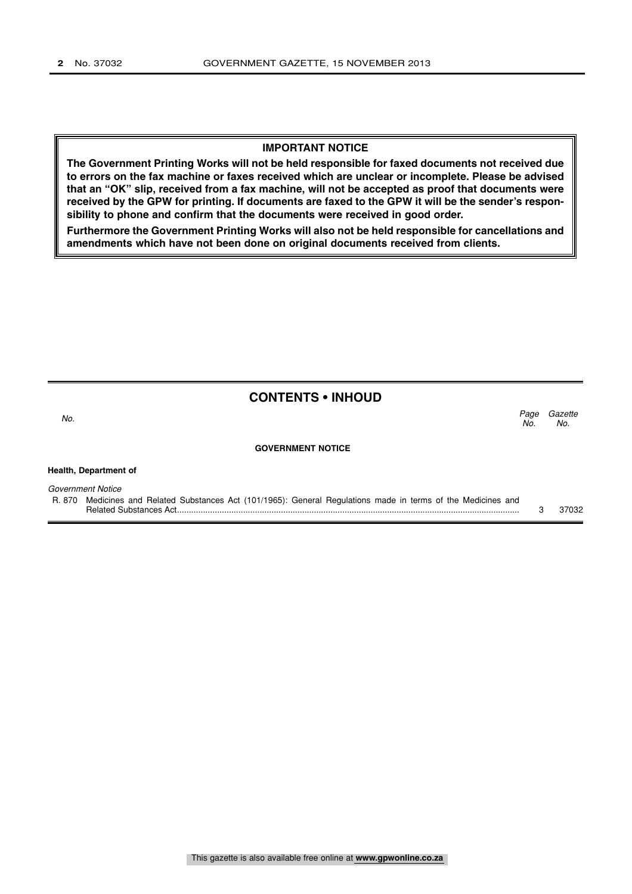### **IMPORTANT NOTICE**

**The Government Printing Works will not be held responsible for faxed documents not received due to errors on the fax machine or faxes received which are unclear or incomplete. Please be advised that an "OK" slip, received from a fax machine, will not be accepted as proof that documents were received by the GPW for printing. If documents are faxed to the GPW it will be the sender's responsibility to phone and confirm that the documents were received in good order.**

**Furthermore the Government Printing Works will also not be held responsible for cancellations and amendments which have not been done on original documents received from clients.**

# **CONTENTS • INHOUD**

Gazette No.

Page<br>No.

No.  $\sim$  No.

#### **GOVERNMENT NOTICE**

**Health, Department of**

Government Notice

R. 870 Medicines and Related Substances Act (101/1965): General Regulations made in terms of the Medicines and Related Substances Act................................................................................................................................................. 3 37032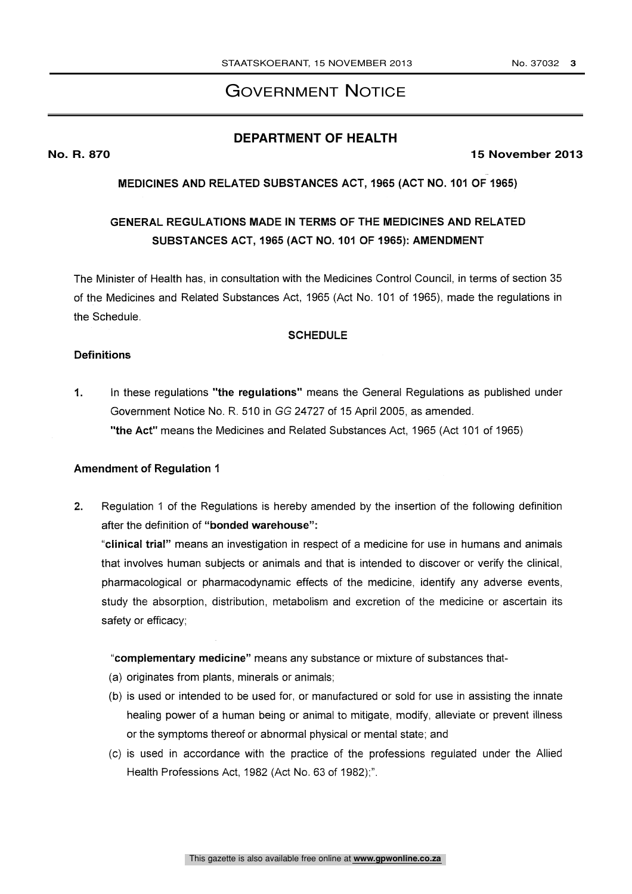# GOVERNMENT NOTICE

# **DEPARTMENT OF HEALTH**

### **No. R. 870 15 November 2013**

MEDICINES AND RELATED SUBSTANCES ACT, 1965 (ACT NO. 101 OF 1965)

# GENERAL REGULATIONS MADE IN TERMS OF THE MEDICINES AND RELATED SUBSTANCES ACT, 1965 (ACT NO. 101 OF 1965): AMENDMENT

The Minister of Health has, in consultation with the Medicines Control Council, in terms of section 35 of the Medicines and Related Substances Act, 1965 (Act No. 101 of 1965), made the regulations in the Schedule.

# **SCHEDULE**

### **Definitions**

1. In these regulations "the regulations" means the General Regulations as published under Government Notice No. R. 510 in GG 24727 of 15 April 2005, as amended. "the Act" means the Medicines and Related Substances Act, 1965 (Act 101 of 1965)

### Amendment of Regulation 1

2. Regulation 1 of the Regulations is hereby amended by the insertion of the following definition after the definition of "bonded warehouse":

"clinical trial" means an investigation in respect of a medicine for use in humans and animals that involves human subjects or animals and that is intended to discover or verify the clinical, pharmacological or pharmacodynamic effects of the medicine, identify any adverse events, study the absorption, distribution, metabolism and excretion of the medicine or ascertain its safety or efficacy;

"complementary medicine" means any substance or mixture of substances that-

- (a) originates from plants, minerals or animals;
- (b) is used or intended to be used for, or manufactured or sold for use in assisting the innate healing power of a human being or animal to mitigate, modify, alleviate or prevent illness or the symptoms thereof or abnormal physical or mental state; and
- (c) is used in accordance with the practice of the professions regulated under the Allied Health Professions Act, 1982 (Act No. 63 of 1982);".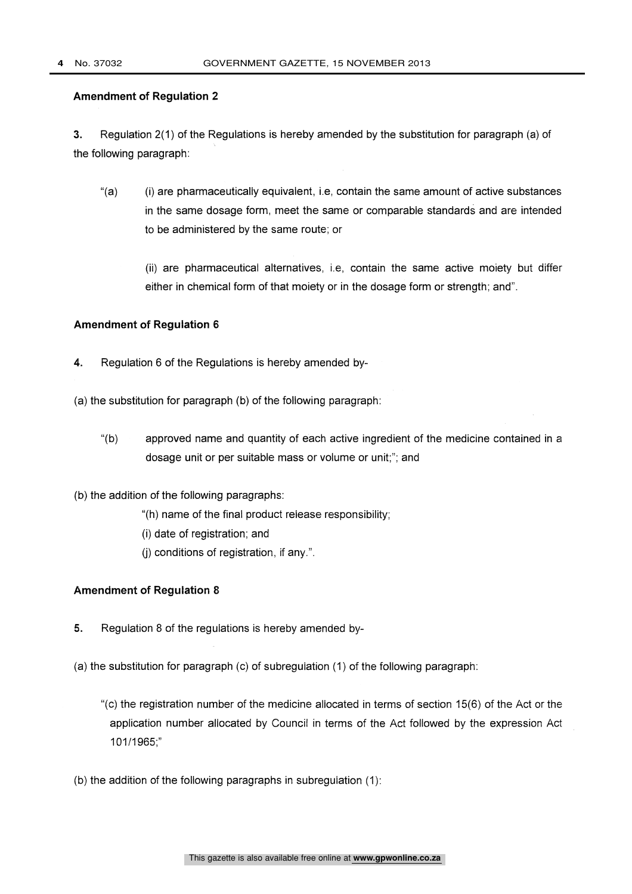3. Regulation 2(1) of the Regulations is hereby amended by the substitution for paragraph (a) of the following paragraph:

"(a) (i) are pharmaceutically equivalent, i.e, contain the same amount of active substances in the same dosage form, meet the same or comparable standards and are intended to be administered by the same route; or

(ii) are pharmaceutical alternatives, i.e, contain the same active moiety but differ either in chemical form of that moiety or in the dosage form or strength; and".

# Amendment of Regulation 6

- 4. Regulation 6 of the Regulations is hereby amended by-
- (a) the substitution for paragraph (b) of the following paragraph:
	- "(b) approved name and quantity of each active ingredient of the medicine contained in a dosage unit or per suitable mass or volume or unit;"; and
- (b) the addition of the following paragraphs:
	- "(h) name of the final product release responsibility;
	- (i) date of registration; and
	- (j) conditions of registration, if any.".

### Amendment of Regulation 8

- 5. Regulation 8 of the regulations is hereby amended by-
- (a) the substitution for paragraph (c) of subregulation (1) of the following paragraph:
	- "(c) the registration number of the medicine allocated in terms of section 15(6) of the Act or the application number allocated by Council in terms of the Act followed by the expression Act 101/1965;"
- (b) the addition of the following paragraphs in subregulation (1):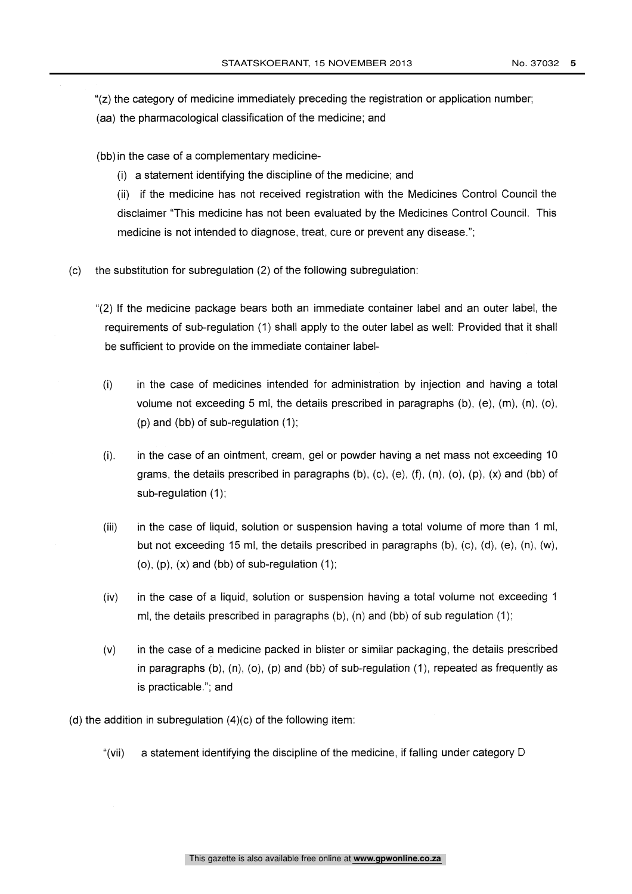- "(z) the category of medicine immediately preceding the registration or application number;
- (aa) the pharmacological classification of the medicine; and
- (bb) in the case of a complementary medicine-
	- (i) a statement identifying the discipline of the medicine; and

(ii) if the medicine has not received registration with the Medicines Control Council the disclaimer "This medicine has not been evaluated by the Medicines Control Council. This medicine is not intended to diagnose, treat, cure or prevent any disease.";

- (c) the substitution for subregulation (2) of the following subregulation:
	- "(2) If the medicine package bears both an immediate container label and an outer label, the requirements of sub-regulation (1) shall apply to the outer label as well: Provided that it shall be sufficient to provide on the immediate container label-
		- (i) in the case of medicines intended for administration by injection and having a total volume not exceeding 5 ml, the details prescribed in paragraphs  $(b)$ ,  $(e)$ ,  $(m)$ ,  $(n)$ ,  $(o)$ , (p) and (bb) of sub-regulation (1);
		- $(i)$ . in the case of an ointment, cream, gel or powder having a net mass not exceeding 10 grams, the details prescribed in paragraphs  $(b)$ ,  $(c)$ ,  $(e)$ ,  $(f)$ ,  $(n)$ ,  $(o)$ ,  $(p)$ ,  $(x)$  and  $(bb)$  of sub-regulation (1);
		- (iii) in the case of liquid, solution or suspension having a total volume of more than 1 ml, but not exceeding 15 ml, the details prescribed in paragraphs  $(b)$ ,  $(c)$ ,  $(d)$ ,  $(e)$ ,  $(n)$ ,  $(w)$ ,  $(a)$ ,  $(p)$ ,  $(x)$  and  $(bb)$  of sub-regulation  $(1)$ ;
		- (iv) in the case of a liquid, solution or suspension having a total volume not exceeding 1 ml, the details prescribed in paragraphs (b), (n) and (bb) of sub regulation (1);
		- (v) in the case of a medicine packed in blister or similar packaging, the details prescribed in paragraphs  $(b)$ ,  $(n)$ ,  $(o)$ ,  $(p)$  and  $(bb)$  of sub-regulation  $(1)$ , repeated as frequently as is practicable."; and
- (d) the addition in subregulation  $(4)(c)$  of the following item:
	- "(vii) a statement identifying the discipline of the medicine, if falling under category D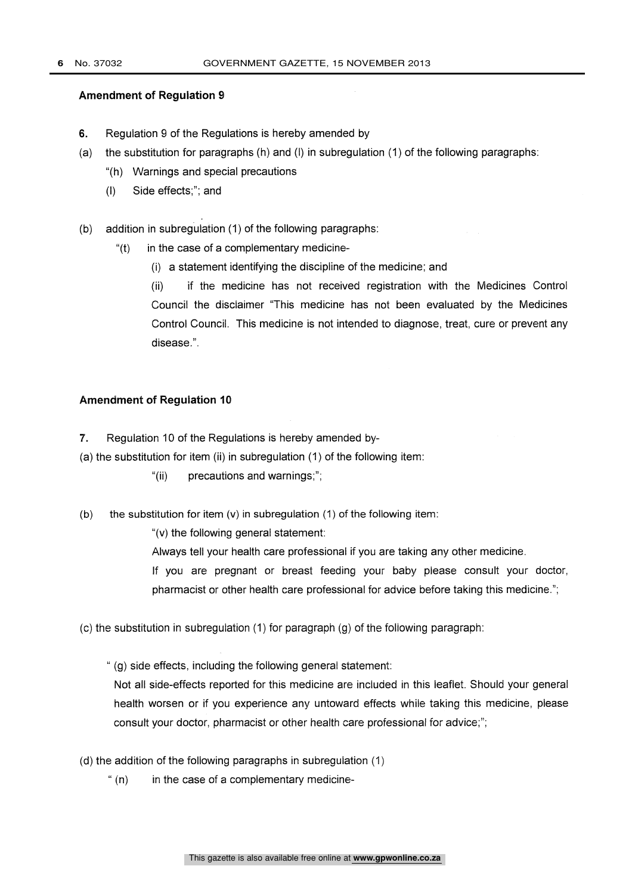- 6. Regulation 9 of the Regulations is hereby amended by
- (a) the substitution for paragraphs (h) and (I) in subregulation (1) of the following paragraphs:
	- "(h) Warnings and special precautions
	- (I) Side effects;"; and
- (b) addition in subregulation (1) of the following paragraphs:
	- " $(t)$  in the case of a complementary medicine-
		- (i) a statement identifying the discipline of the medicine; and

(ii) if the medicine has not received registration with the Medicines Control Council the disclaimer "This medicine has not been evaluated by the Medicines Control Council. This medicine is not intended to diagnose, treat, cure or prevent any disease.".

# Amendment of Regulation 10

- 7. Regulation 10 of the Regulations is hereby amended by-
- (a) the substitution for item (ii) in subregulation (1) of the following item:
	- "(ii) precautions and warnings;";
- (b) the substitution for item  $(v)$  in subregulation (1) of the following item:

"(v) the following general statement:

Always tell your health care professional if you are taking any other medicine.

If you are pregnant or breast feeding your baby please consult your doctor, pharmacist or other health care professional for advice before taking this medicine.";

(c) the substitution in subregulation (1) for paragraph (g) of the following paragraph:

" (g) side effects, including the following general statement:

Not all side-effects reported for this medicine are included in this leaflet. Should your general health worsen or if you experience any untoward effects while taking this medicine, please consult your doctor, pharmacist or other health care professional for advice;";

- (d) the addition of the following paragraphs in subregulation (1)
	- " $(n)$  in the case of a complementary medicine-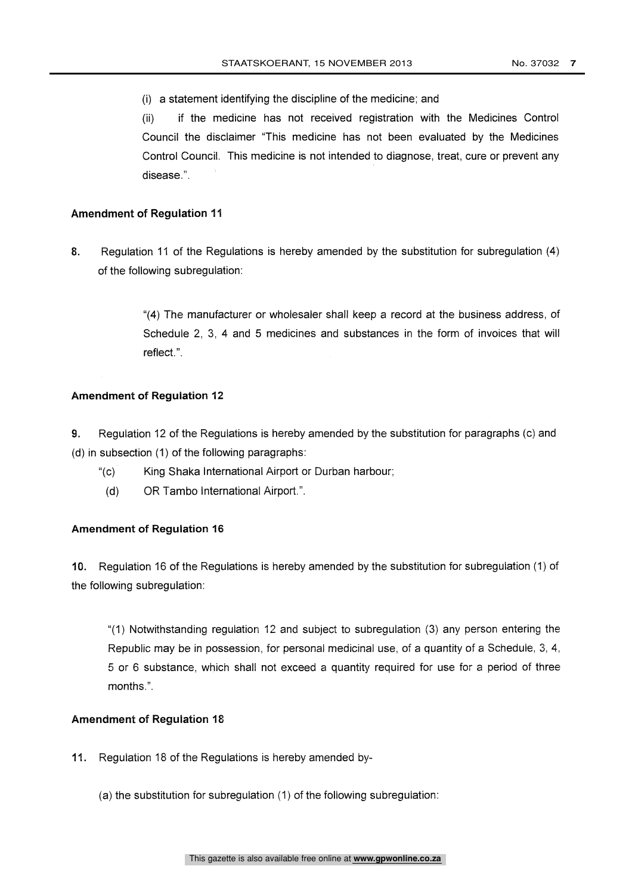(i) a statement identifying the discipline of the medicine; and

(ii) if the medicine has not received registration with the Medicines Control Council the disclaimer "This medicine has not been evaluated by the Medicines Control Council. This medicine is not intended to diagnose, treat, cure or prevent any disease.".

# Amendment of Regulation 11

8. Regulation 11 of the Regulations is hereby amended by the substitution for subregulation (4) of the following subregulation:

> "(4) The manufacturer or wholesaler shall keep a record at the business address, of Schedule 2, 3, 4 and 5 medicines and substances in the form of invoices that will reflect.".

### Amendment of Regulation 12

9. Regulation 12 of the Regulations is hereby amended by the substitution for paragraphs (c) and (d) in subsection (1) of the following paragraphs:

- "(c) King Shaka International Airport or Durban harbour;
- (d) OR Tambo International Airport. ".

## Amendment of Regulation 16

10. Regulation 16 of the Regulations is hereby amended by the substitution for subregulation (1) of the following subregulation:

"(1) Notwithstanding regulation 12 and subject to subregulation (3) any person entering the Republic may be in possession, for personal medicinal use, of a quantity of a Schedule, 3, 4, 5 or 6 substance, which shall not exceed a quantity required for use for a period of three months.".

# Amendment of Regulation 18

- 11. Regulation 18 of the Regulations is hereby amended by-
	- (a) the substitution for subregulation (1) of the following subregulation: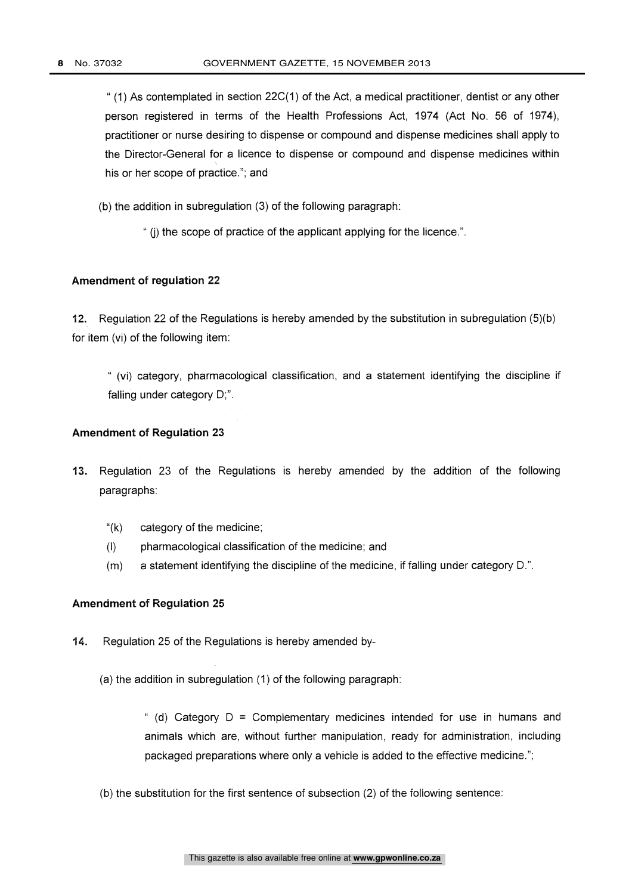$(1)$  As contemplated in section 22C(1) of the Act, a medical practitioner, dentist or any other person registered in terms of the Health Professions Act, 1974 (Act No. 56 of 1974), practitioner or nurse desiring to dispense or compound and dispense medicines shall apply to the Director-General for a licence to dispense or compound and dispense medicines within his or her scope of practice."; and

(b) the addition in subregulation (3) of the following paragraph:

" (j) the scope of practice of the applicant applying for the licence.".

### Amendment of regulation 22

12. Regulation 22 of the Regulations is hereby amended by the substitution in subregulation (5)(b) for item (vi) of the following item:

" (vi) category, pharmacological classification, and a statement identifying the discipline if falling under category D;".

#### Amendment of Regulation 23

- 13. Regulation 23 of the Regulations is hereby amended by the addition of the following paragraphs:
	- $"$ (k) category of the medicine;
	- (I) pharmacological classification of the medicine; and
	- $(m)$ a statement identifying the discipline of the medicine, if falling under category D.".

### Amendment of Regulation 25

- 14. Regulation 25 of the Regulations is hereby amended by-
	- (a) the addition in subregulation (1) of the following paragraph:

" (d) Category  $D =$  Complementary medicines intended for use in humans and animals which are, without further manipulation, ready for administration, including packaged preparations where only a vehicle is added to the effective medicine.";

(b) the substitution for the first sentence of subsection (2) of the following sentence: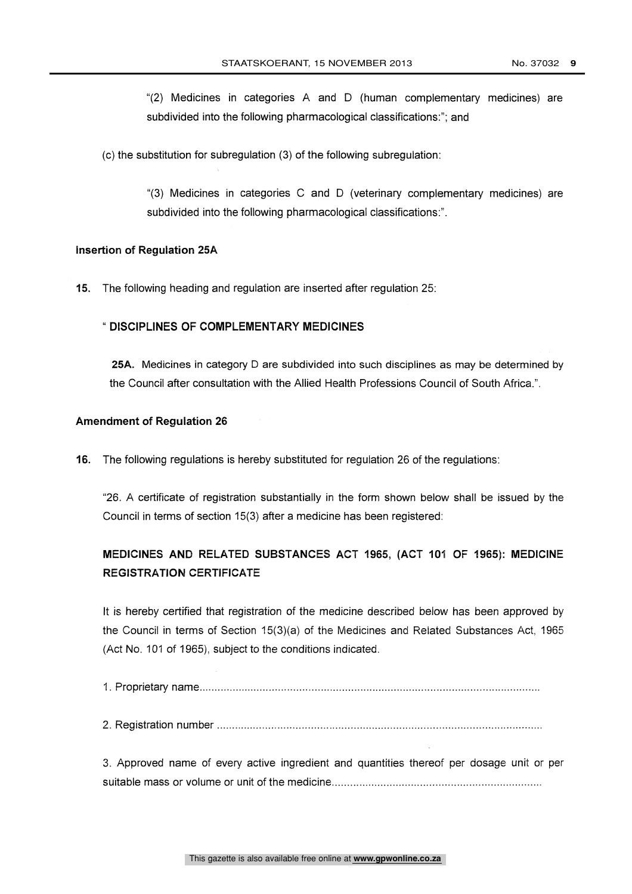"(2) Medicines in categories A and D (human complementary medicines) are subdivided into the following pharmacological classifications:"; and

(c) the substitution for subregulation (3) of the following subregulation:

"(3) Medicines in categories C and D (veterinary complementary medicines) are subdivided into the following pharmacological classifications:".

#### Insertion of Regulation 25A

15. The following heading and regulation are inserted after regulation 25:

# " DISCIPLINES OF COMPLEMENTARY MEDICINES

25A. Medicines in category D are subdivided into such disciplines as may be determined by the Council after consultation with the Allied Health Professions Council of South Africa.".

#### Amendment of Regulation 26

16. The following regulations is hereby substituted for regulation 26 of the regulations:

"26. A certificate of registration substantially in the form shown below shall be issued by the Council in terms of section 15(3) after a medicine has been registered:

# MEDICINES AND RELATED SUBSTANCES ACT 1965, (ACT 101 OF 1965): MEDICINE REGISTRATION CERTIFICATE

It is hereby certified that registration of the medicine described below has been approved by the Council in terms of Section 15(3)(a) of the Medicines and Related Substances Act, 1965 (Act No. 101 of 1965), subject to the conditions indicated.

1. Proprietary name

2. Registration number

3. Approved name of every active ingredient and quantities thereof per dosage unit or per suitable mass or volume or unit of the medicine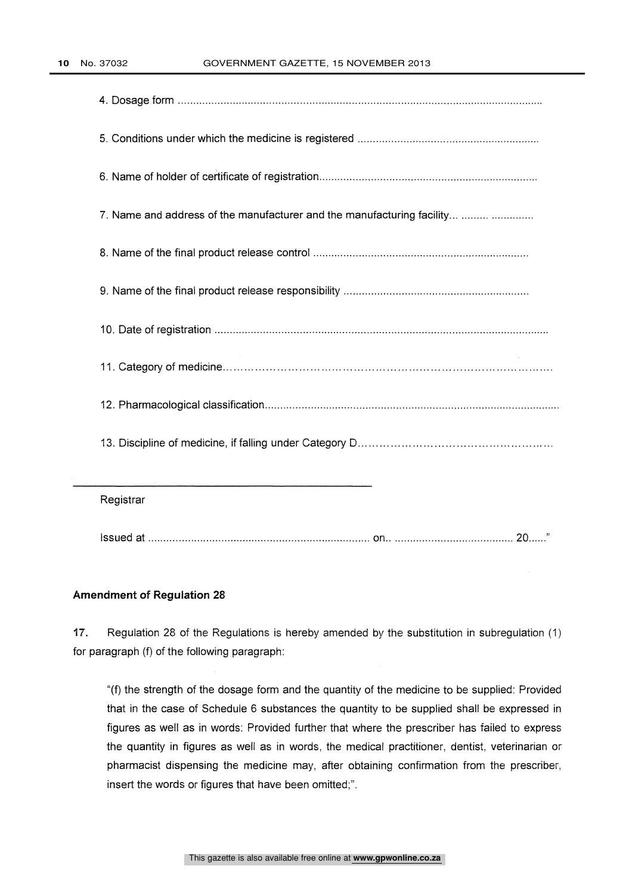| 7. Name and address of the manufacturer and the manufacturing facility |
|------------------------------------------------------------------------|
|                                                                        |
|                                                                        |
|                                                                        |
|                                                                        |
|                                                                        |
|                                                                        |
| Registrar                                                              |
|                                                                        |

17. Regulation 28 of the Regulations is hereby amended by the substitution in subregulation (1) for paragraph (f) of the following paragraph:

"(f) the strength of the dosage form and the quantity of the medicine to be supplied: Provided that in the case of Schedule 6 substances the quantity to be supplied shall be expressed in figures as well as in words: Provided further that where the prescriber has failed to express the quantity in figures as well as in words, the medical practitioner, dentist, veterinarian or pharmacist dispensing the medicine may, after obtaining confirmation from the prescriber, insert the words or figures that have been omitted;".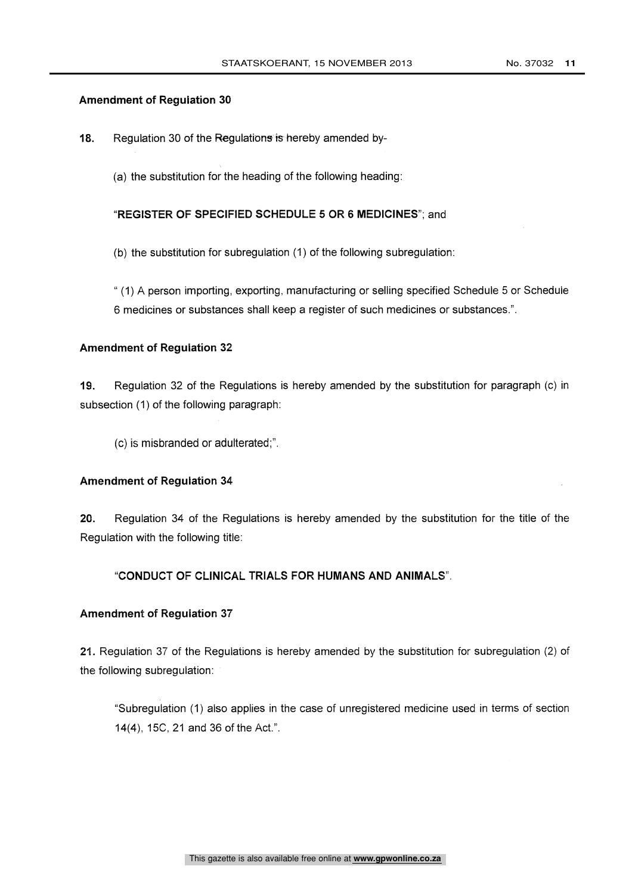18. Regulation 30 of the Regulations is hereby amended by-

(a) the substitution for the heading of the following heading:

"REGISTER OF SPECIFIED SCHEDULE 5 OR 6 MEDICINES"; and

(b) the substitution for subregulation (1) of the following subregulation:

" (1) A person importing, exporting, manufacturing or selling specified Schedule 5 or Schedule 6 medicines or substances shall keep a register of such medicines or substances.".

#### Amendment of Regulation 32

19. Regulation 32 of the Regulations is hereby amended by the substitution for paragraph (c) in subsection (1) of the following paragraph:

(c) is misbranded or adulterated;".

#### Amendment of Regulation 34

20. Regulation 34 of the Regulations is hereby amended by the substitution for the title of the Regulation with the following title:

# "CONDUCT OF CLINICAL TRIALS FOR HUMANS AND ANIMALS".

#### Amendment of Regulation 37

21. Regulation 37 of the Regulations is hereby amended by the substitution for subregulation (2) of the following subregulation:

"Subregulation (1) also applies in the case of unregistered medicine used in terms of section 14(4), 15C, 21 and 36 of the Act.".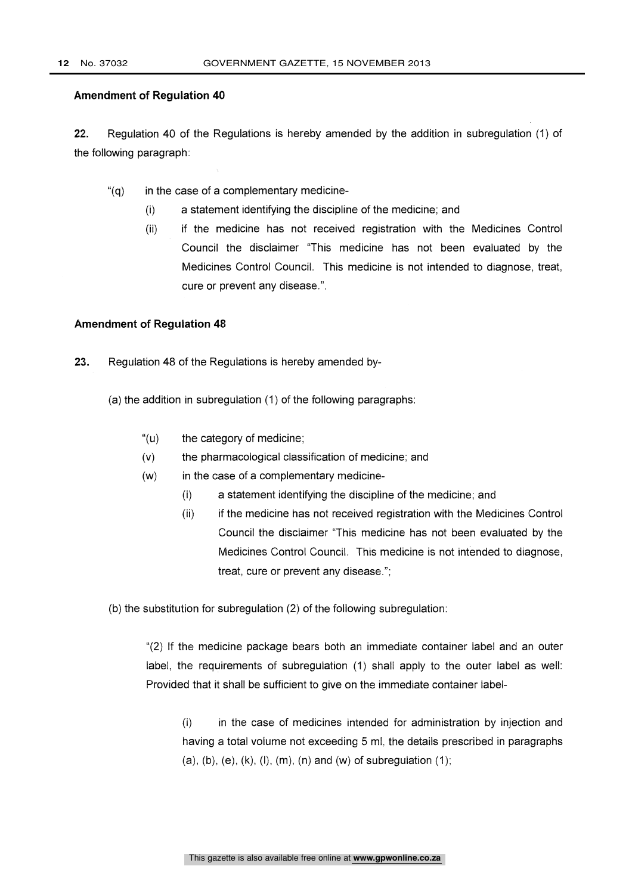22. Regulation 40 of the Regulations is hereby amended by the addition in subregulation (1) of the following paragraph:

- $\degree$ (g) in the case of a complementary medicine-
	- (i) a statement identifying the discipline of the medicine; and
	- (ii) if the medicine has not received registration with the Medicines Control Council the disclaimer "This medicine has not been evaluated by the Medicines Control Council. This medicine is not intended to diagnose, treat, cure or prevent any disease.".

#### Amendment of Regulation 48

- 23. Regulation 48 of the Regulations is hereby amended by-
	- (a) the addition in subregulation (1) of the following paragraphs:
		- "(u) the category of medicine;
		- (v) the pharmacological classification of medicine; and
		- (w) in the case of a complementary medicine-
			- $(i)$ a statement identifying the discipline of the medicine; and
			- $(ii)$ if the medicine has not received registration with the Medicines Control Council the disclaimer "This medicine has not been evaluated by the Medicines Control Council. This medicine is not intended to diagnose, treat, cure or prevent any disease.";

(b) the substitution for subregulation (2) of the following subregulation:

"(2) If the medicine package bears both an immediate container label and an outer label, the requirements of subregulation (1) shall apply to the outer label as well: Provided that it shall be sufficient to give on the immediate container label-

(i) in the case of medicines intended for administration by injection and having a total volume not exceeding 5 ml, the details prescribed in paragraphs (a), (b), (e), (k), (l), (m), (n) and (w) of subregulation  $(1)$ ;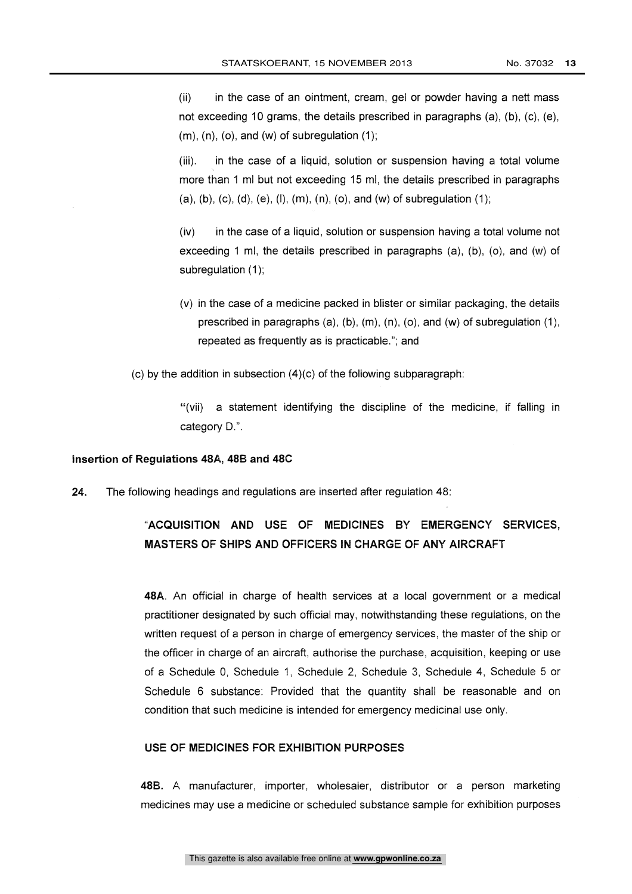(ii) in the case of an ointment, cream, gel or powder having a nett mass not exceeding 10 grams, the details prescribed in paragraphs (a), (b), (c), (e),  $(m)$ ,  $(n)$ ,  $(o)$ , and  $(w)$  of subregulation  $(1)$ ;

(iii). in the case of a liquid, solution or suspension having a total volume more than 1 ml but not exceeding 15 ml, the details prescribed in paragraphs (a), (b), (c), (d), (e), (l), (m), (n), (o), and (w) of subregulation (1);

(iv) in the case of a liquid, solution or suspension having a total volume not exceeding 1 ml, the details prescribed in paragraphs (a), (b), (o), and (w) of subregulation (1);

(v) in the case of a medicine packed in blister or similar packaging, the details prescribed in paragraphs  $(a)$ ,  $(b)$ ,  $(m)$ ,  $(n)$ ,  $(o)$ , and  $(w)$  of subregulation  $(1)$ , repeated as frequently as is practicable."; and

(c) by the addition in subsection  $(4)(c)$  of the following subparagraph:

"(vii) a statement identifying the discipline of the medicine, if falling in category D.".

#### Insertion of Regulations 48A, 48B and 48C

24. The following headings and regulations are inserted after regulation 48:

# "ACQUISITION AND USE OF MEDICINES BY EMERGENCY SERVICES, MASTERS OF SHIPS AND OFFICERS IN CHARGE OF ANY AIRCRAFT

48A. An official in charge of health services at a local government or a medical practitioner designated by such official may, notwithstanding these regulations, on the written request of a person in charge of emergency services, the master of the ship or the officer in charge of an aircraft, authorise the purchase, acquisition, keeping or use of a Schedule 0, Schedule 1, Schedule 2, Schedule 3, Schedule 4, Schedule 5 or Schedule 6 substance: Provided that the quantity shall be reasonable and on condition that such medicine is intended for emergency medicinal use only.

#### USE OF MEDICINES FOR EXHIBITION PURPOSES

48B. A manufacturer, importer, wholesaler, distributor or a person marketing medicines may use a medicine or scheduled substance sample for exhibition purposes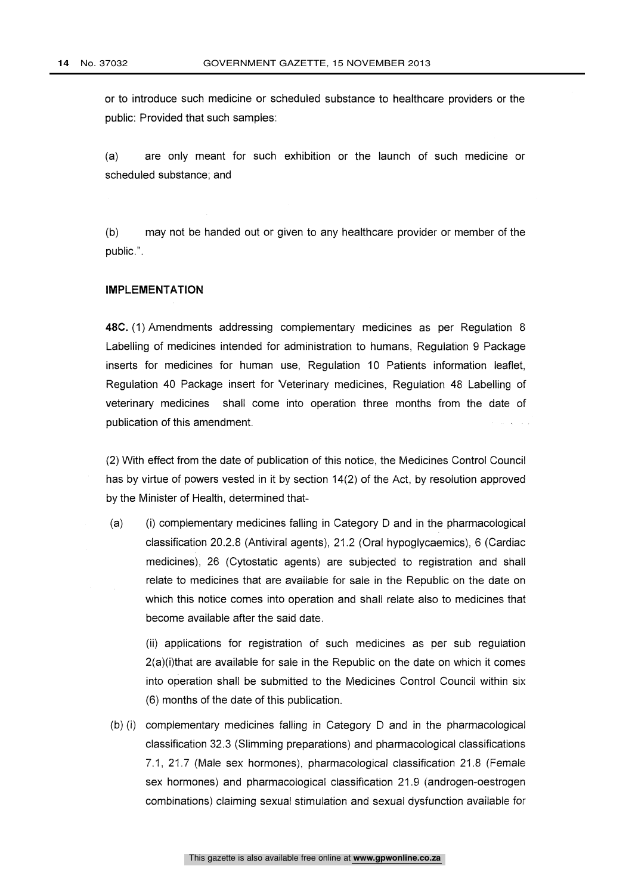or to introduce such medicine or scheduled substance to healthcare providers or the public: Provided that such samples:

(a) are only meant for such exhibition or the launch of such medicine or scheduled substance; and

(b) may not be handed out or given to any healthcare provider or member of the public.".

#### IMPLEMENTATION

48C. (1) Amendments addressing complementary medicines as per Regulation 8 Labelling of medicines intended for administration to humans, Regulation 9 Package inserts for medicines for human use, Regulation 10 Patients information leaflet, Regulation 40 Package insert for Veterinary medicines, Regulation 48 Labelling of veterinary medicines shall come into operation three months from the date of publication of this amendment.

(2) With effect from the date of publication of this notice, the Medicines Control Council has by virtue of powers vested in it by section 14(2) of the Act, by resolution approved by the Minister of Health, determined that-

(a) (i) complementary medicines falling in Category D and in the pharmacological classification 20.2.8 (Antiviral agents), 21.2 (Oral hypoglycaemics), 6 (Cardiac medicines), 26 (Cytostatic agents) are subjected to registration and shall relate to medicines that are available for sale in the Republic on the date on which this notice comes into operation and shall relate also to medicines that become available after the said date.

(ii) applications for registration of such medicines as per sub regulation 2(a)(i)that are available for sale in the Republic on the date on which it comes into operation shall be submitted to the Medicines Control Council within six (6) months of the date of this publication.

(b) (i) complementary medicines falling in Category D and in the pharmacological classification 32.3 (Slimming preparations) and pharmacological classifications 7.1, 21.7 (Male sex hormones), pharmacological classification 21.8 (Female sex hormones) and pharmacological classification 21.9 (androgen-oestrogen combinations) claiming sexual stimulation and sexual dysfunction available for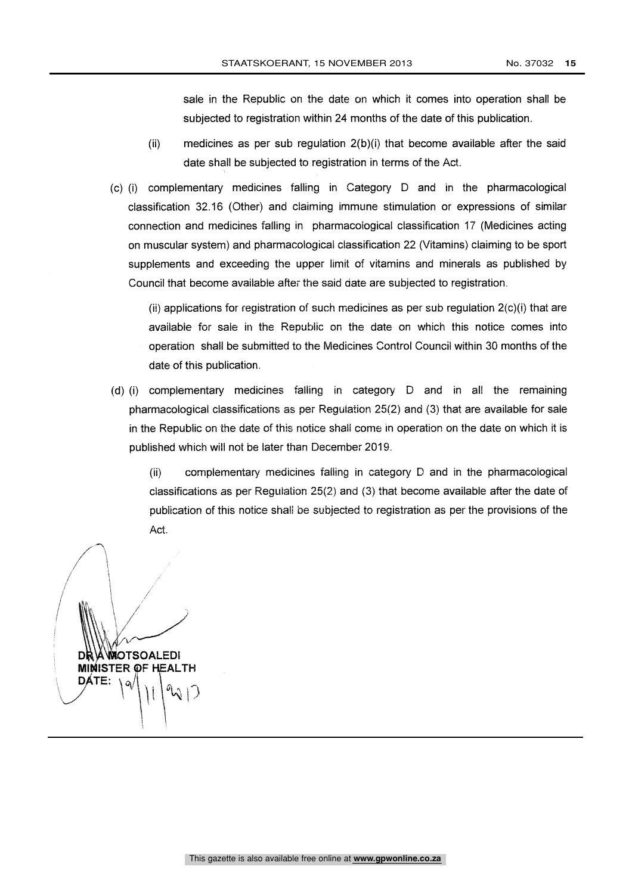sale in the Republic on the date on which it comes into operation shall be subjected to registration within 24 months of the date of this publication.

- $(iii)$  medicines as per sub regulation  $2(b)(i)$  that become available after the said date shall be subjected to registration in terms of the Act.
- (c) (i) complementary medicines falling in Category D and in the pharmacological classification 32.16 (Other) and claiming immune stimulation or expressions of similar connection and medicines falling in pharmacological classification 17 (Medicines acting on muscular system) and pharmacological classification 22 (Vitamins) claiming to be sport supplements and exceeding the upper limit of vitamins and minerals as published by Council that become available after the said date are subjected to registration.

(ii) applications for registration of such medicines as per sub regulation  $2(c)(i)$  that are available for sale in the Republic on the date on which this notice comes into operation shall be submitted to the Medicines Control Council within 30 months of the date of this publication.

 $(d)$  (i) complementary medicines falling in category  $D$  and in all the remaining pharmacological classifications as per Regulation 25(2) and (3) that are available for sale in the Republic on the date of this notice shall come in operation on the date on which it is published which will not be later than December 2019.

(ii) complementary medicines falling in category D and in the pharmacological classifications as per Regulation 25(2) and (3) that become available after the date of publication of this notice shall be subjected to registration as per the provisions of the Act.

**A WAOTSOALEDI MINISTER OF HEALTH** TE:  $\sqrt{9}$   $\sqrt{11}$   $\frac{9}{2}$